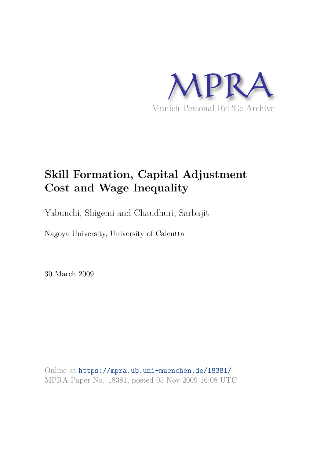

# **Skill Formation, Capital Adjustment Cost and Wage Inequality**

Yabuuchi, Shigemi and Chaudhuri, Sarbajit

Nagoya University, University of Calcutta

30 March 2009

Online at https://mpra.ub.uni-muenchen.de/18381/ MPRA Paper No. 18381, posted 05 Nov 2009 16:08 UTC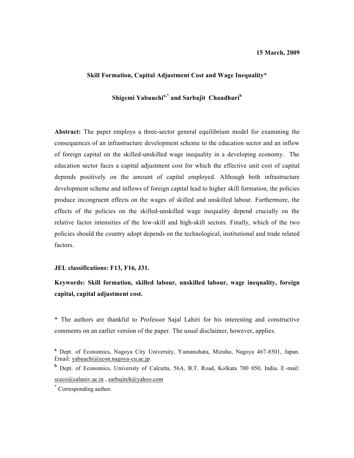## **Skill Formation, Capital Adjustment Cost and Wage Inequality\***

# **Shigemi Yabuuchia,\* and Sarbajit Chaudhuri<sup>b</sup>**

**Abstract:** The paper employs a three-sector general equilibrium model for examining the consequences of an infrastructure development scheme to the education sector and an inflow of foreign capital on the skilled-unskilled wage inequality in a developing economy. The education sector faces a capital adjustment cost for which the effective unit cost of capital depends positively on the amount of capital employed. Although both infrastructure development scheme and inflows of foreign capital lead to higher skill formation, the policies produce incongruent effects on the wages of skilled and unskilled labour. Furthermore, the effects of the policies on the skilled-unskilled wage inequality depend crucially on the relative factor intensities of the low-skill and high-skill sectors. Finally, which of the two policies should the country adopt depends on the technological, institutional and trade related factors.

# **JEL classifications: F13, F16, J31.**

# **Keywords: Skill formation, skilled labour, unskilled labour, wage inequality, foreign capital, capital adjustment cost.**

\* The authors are thankful to Professor Sajal Lahiri for his interesting and constructive comments on an earlier version of the paper. The usual disclaimer, however, applies.

**b** Dept. of Economics, University of Calcutta, 56A, B.T. Road, Kolkata 700 050, India. E-mail: sceco@caluniv.ac.in, sarbajitch@yahoo.com

**a** Dept. of Economics, Nagoya City University, Yamanohata, Mizuho, Nagoya 467-8501, Japan. Email: yabuuchi@econ.nagoya-cu.ac.jp.

**<sup>\*</sup>** Corresponding author.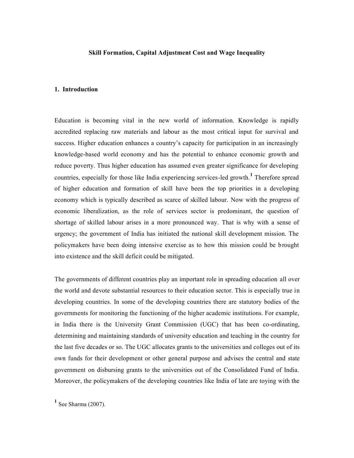#### **Skill Formation, Capital Adjustment Cost and Wage Inequality**

# **1. Introduction**

Education is becoming vital in the new world of information. Knowledge is rapidly accredited replacing raw materials and labour as the most critical input for survival and success. Higher education enhances a country's capacity for participation in an increasingly knowledge-based world economy and has the potential to enhance economic growth and reduce poverty. Thus higher education has assumed even greater significance for developing countries, especially for those like India experiencing services-led growth.**<sup>1</sup>** Therefore spread of higher education and formation of skill have been the top priorities in a developing economy which is typically described as scarce of skilled labour. Now with the progress of economic liberalization, as the role of services sector is predominant, the question of shortage of skilled labour arises in a more pronounced way. That is why with a sense of urgency; the government of India has initiated the national skill development mission. The policymakers have been doing intensive exercise as to how this mission could be brought into existence and the skill deficit could be mitigated.

The governments of different countries play an important role in spreading education all over the world and devote substantial resources to their education sector. This is especially true in developing countries. In some of the developing countries there are statutory bodies of the governments for monitoring the functioning of the higher academic institutions. For example, in India there is the University Grant Commission (UGC) that has been co-ordinating, determining and maintaining standards of university education and teaching in the country for the last five decades or so. The UGC allocates grants to the universities and colleges out of its own funds for their development or other general purpose and advises the central and state government on disbursing grants to the universities out of the Consolidated Fund of India. Moreover, the policymakers of the developing countries like India of late are toying with the

**1** See Sharma (2007).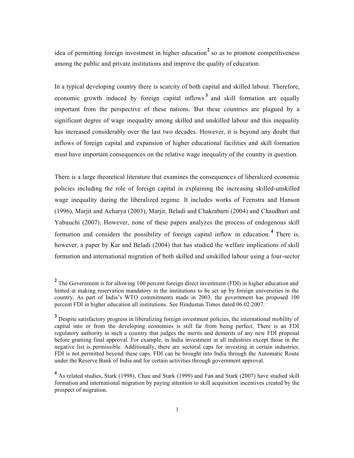idea of permitting foreign investment in higher education<sup>2</sup> so as to promote competitiveness among the public and private institutions and improve the quality of education.

In a typical developing country there is scarcity of both capital and skilled labour. Therefore, economic growth induced by foreign capital inflows<sup>3</sup> and skill formation are equally important from the perspective of these nations. But these countries are plagued by a significant degree of wage inequality among skilled and unskilled labour and this inequality has increased considerably over the last two decades. However, it is beyond any doubt that inflows of foreign capital and expansion of higher educational facilities and skill formation must have important consequences on the relative wage inequality of the country in question.

There is a large theoretical literature that examines the consequences of liberalized economic policies including the role of foreign capital in explaining the increasing skilled-unskilled wage inequality during the liberalized regime. It includes works of Feenstra and Hanson (1996), Marjit and Acharya (2003), Marjit, Beladi and Chakrabarti (2004) and Chaudhuri and Yabuuchi (2007). However, none of these papers analyzes the process of endogenous skill formation and considers the possibility of foreign capital inflow in education. **<sup>4</sup>** There is, however, a paper by Kar and Beladi (2004) that has studied the welfare implications of skill formation and international migration of both skilled and unskilled labour using a four-sector

3

<sup>&</sup>lt;sup>2</sup> The Government is for allowing 100 percent foreign direct investment (FDI) in higher education and hinted at making reservation mandatory in the institutions to be set up by foreign universities in the country. As part of India's WTO commitments made in 2003, the government has proposed 100 percent FDI in higher education all institutions. See Hindustan Times dated 06.02.2007.

<sup>&</sup>lt;sup>3</sup> Despite satisfactory progress in liberalizing foreign investment policies, the international mobility of capital into or from the developing economies is still far from being perfect. There is an FDI regulatory authority in such a country that judges the merits and demerits of any new FDI proposal before granting final approval. For example, in India investment in all industries except those in the negative list is permissible. Additionally, there are sectoral caps for investing in certain industries. FDI is not permitted beyond these caps. FDI can be brought into India through the Automatic Route under the Reserve Bank of India and for certain activities through government approval.

<sup>&</sup>lt;sup>4</sup> As related studies, Stark (1998), Chau and Stark (1999) and Fan and Stark (2007) have studied skill formation and international migration by paying attention to skill acquisition incentives created by the prospect of migration.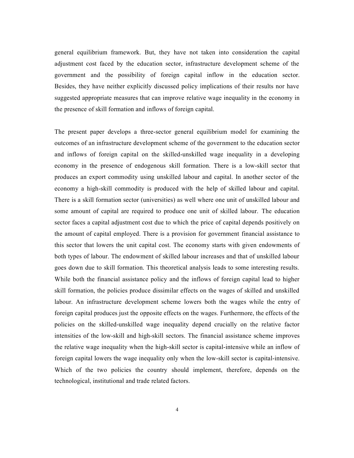general equilibrium framework. But, they have not taken into consideration the capital adjustment cost faced by the education sector, infrastructure development scheme of the government and the possibility of foreign capital inflow in the education sector. Besides, they have neither explicitly discussed policy implications of their results nor have suggested appropriate measures that can improve relative wage inequality in the economy in the presence of skill formation and inflows of foreign capital.

4

The present paper develops a three-sector general equilibrium model for examining the outcomes of an infrastructure development scheme of the government to the education sector and inflows of foreign capital on the skilled-unskilled wage inequality in a developing economy in the presence of endogenous skill formation. There is a low-skill sector that produces an export commodity using unskilled labour and capital. In another sector of the economy a high-skill commodity is produced with the help of skilled labour and capital. There is a skill formation sector (universities) as well where one unit of unskilled labour and some amount of capital are required to produce one unit of skilled labour. The education sector faces a capital adjustment cost due to which the price of capital depends positively on the amount of capital employed. There is a provision for government financial assistance to this sector that lowers the unit capital cost. The economy starts with given endowments of both types of labour. The endowment of skilled labour increases and that of unskilled labour goes down due to skill formation. This theoretical analysis leads to some interesting results. While both the financial assistance policy and the inflows of foreign capital lead to higher skill formation, the policies produce dissimilar effects on the wages of skilled and unskilled labour. An infrastructure development scheme lowers both the wages while the entry of foreign capital produces just the opposite effects on the wages. Furthermore, the effects of the policies on the skilled-unskilled wage inequality depend crucially on the relative factor intensities of the low-skill and high-skill sectors. The financial assistance scheme improves the relative wage inequality when the high-skill sector is capital-intensive while an inflow of foreign capital lowers the wage inequality only when the low-skill sector is capital-intensive. Which of the two policies the country should implement, therefore, depends on the technological, institutional and trade related factors.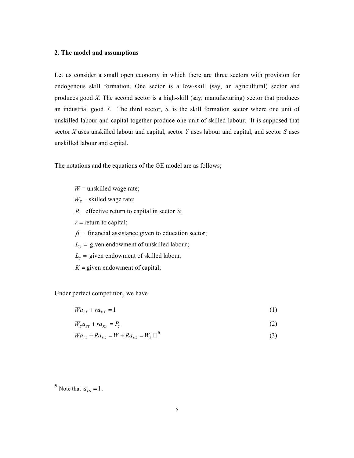# **2. The model and assumptions**

Let us consider a small open economy in which there are three sectors with provision for endogenous skill formation. One sector is a low-skill (say, an agricultural) sector and produces good *X*. The second sector is a high-skill (say, manufacturing) sector that produces an industrial good *Y*. The third sector, *S*, is the skill formation sector where one unit of unskilled labour and capital together produce one unit of skilled labour. It is supposed that sector *X* uses unskilled labour and capital, sector *Y* uses labour and capital, and sector *S* uses unskilled labour and capital.

The notations and the equations of the GE model are as follows;

 $W$  = unskilled wage rate;  $W<sub>S</sub>$  = skilled wage rate;  $R$  = effective return to capital in sector *S*;  $r =$  return to capital;  $\beta$  = financial assistance given to education sector;  $L_U$  = given endowment of unskilled labour;  $L<sub>S</sub>$  = given endowment of skilled labour;  $K =$  given endowment of capital;

Under perfect competition, we have

 $Wa_{LX} + ra_{KX} = 1$  (1)

$$
W_s a_{SY} + r a_{KY} = P_Y \tag{2}
$$

$$
Wa_{LS} + Ra_{KS} = W + Ra_{KS} = W_s \square^5
$$
 (3)

 $5$  Note that  $a_{LS} = 1$ .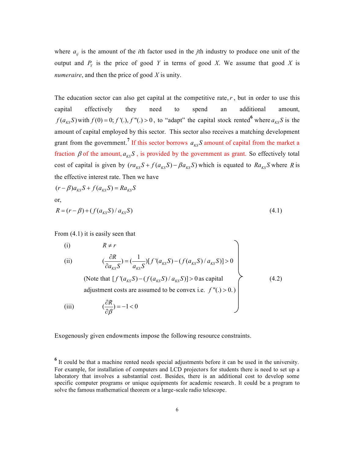where  $a_{ij}$  is the amount of the *i*th factor used in the *j*th industry to produce one unit of the output and  $P_Y$  is the price of good *Y* in terms of good *X*. We assume that good *X* is *numeraire*, and then the price of good *X* is unity.

The education sector can also get capital at the competitive rate,  $r$ , but in order to use this capital effectively they need to spend an additional amount,  $f(a_{KS}S)$  with  $f(0) = 0$ ;  $f'(.), f''(.) > 0$ , to "adapt" the capital stock rented<sup>6</sup> where  $a_{KS}S$  is the amount of capital employed by this sector. This sector also receives a matching development grant from the government.<sup>7</sup> If this sector borrows  $a_{KS}S$  amount of capital from the market a fraction  $\beta$  of the amount,  $a_{KS}S$ , is provided by the government as grant. So effectively total cost of capital is given by  $(r a_{KS} S + f(a_{KS} S) - \beta a_{KS} S)$  which is equated to  $Ra_{KS} S$  where *R* is the effective interest rate. Then we have

$$
(r - \beta)a_{KS}S + f(a_{KS}S) = Ra_{KS}S
$$
  
or,  

$$
R = (r - \beta) + (f(a_{KS}S) / a_{KS}S)
$$
 (4.1)

From (4.1) it is easily seen that

(i) 
$$
R \neq r
$$
  
\n(ii)  $(\frac{\partial R}{\partial a_{KS}S}) = (\frac{1}{a_{KS}S}) [f'(a_{KS}S) - (f(a_{KS}S)/a_{KS}S)] > 0$   
\n(Note that  $[f'(a_{KS}S) - (f(a_{KS}S)/a_{KS}S)] > 0$  as capital  
\nadjustment costs are assumed to be convex i.e.  $f''(.) > 0$ .)  
\n(iii)  $(\frac{\partial R}{\partial \beta}) = -1 < 0$  (4.2)

Exogenously given endowments impose the following resource constraints.

<sup>&</sup>lt;sup>6</sup> It could be that a machine rented needs special adjustments before it can be used in the university. For example, for installation of computers and LCD projectors for students there is need to set up a laboratory that involves a substantial cost. Besides, there is an additional cost to develop some specific computer programs or unique equipments for academic research. It could be a program to solve the famous mathematical theorem or a large-scale radio telescope.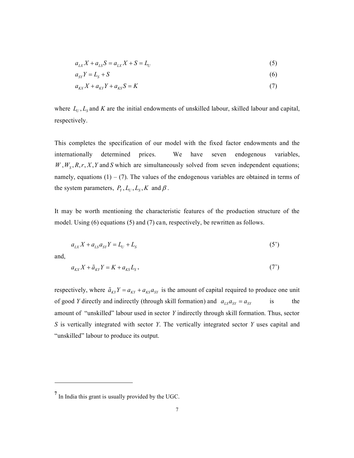$$
a_{LX}X + a_{LS}S = a_{LX}X + S = L_U
$$
\n<sup>(5)</sup>

7

$$
a_{SY}Y = L_S + S \tag{6}
$$

$$
a_{\kappa X} X + a_{\kappa Y} Y + a_{\kappa S} S = K \tag{7}
$$

where  $L_U$ ,  $L_S$  and K are the initial endowments of unskilled labour, skilled labour and capital, respectively.

This completes the specification of our model with the fixed factor endowments and the internationally determined prices. We have seven endogenous variables,  $W$ ,  $W_s$ ,  $R$ ,  $r$ ,  $X$ ,  $Y$  and  $S$  which are simultaneously solved from seven independent equations; namely, equations  $(1) - (7)$ . The values of the endogenous variables are obtained in terms of the system parameters,  $P_Y, L_U, L_S, K$  and  $\beta$ .

It may be worth mentioning the characteristic features of the production structure of the model. Using (6) equations (5) and (7) can, respectively, be rewritten as follows.

$$
a_{LX}X + a_{LS}a_{SY}Y = L_U + L_S
$$
\n<sup>(5')</sup>

and,

1

$$
a_{\kappa X} X + \tilde{a}_{\kappa Y} Y = K + a_{\kappa S} L_S, \qquad (7')
$$

respectively, where  $\tilde{a}_{KY}Y = a_{KY} + a_{KS}a_{SY}$  is the amount of capital required to produce one unit of good *Y* directly and indirectly (through skill formation) and  $a_{LS}a_{SY} = a_{SY}$  is the amount of "unskilled" labour used in sector *Y* indirectly through skill formation. Thus, sector *S* is vertically integrated with sector *Y*. The vertically integrated sector *Y* uses capital and "unskilled" labour to produce its output.

**<sup>7</sup>** In India this grant is usually provided by the UGC.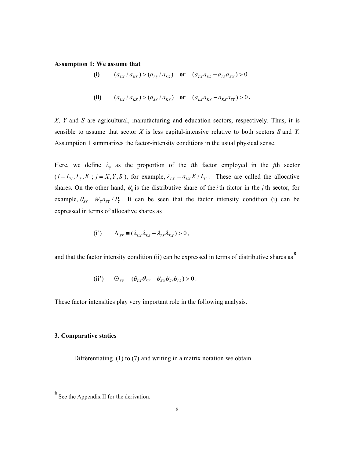#### **Assumption 1: We assume that**

(i) 
$$
(a_{LX}/a_{KX}) > (a_{LS}/a_{KS})
$$
 or  $(a_{LX}a_{KS} - a_{LS}a_{KX}) > 0$ 

(ii)  $(a_{LX}/a_{KX}) > (a_{SY}/a_{KY})$  or  $(a_{LX}a_{KY} - a_{KX}a_{SY}) > 0$ .

*X*, *Y* and *S* are agricultural, manufacturing and education sectors, respectively. Thus, it is sensible to assume that sector *X* is less capital-intensive relative to both sectors *S* and *Y*. Assumption 1 summarizes the factor-intensity conditions in the usual physical sense.

Here, we define  $\lambda_{ij}$  as the proportion of the *i*th factor employed in the *j*th sector  $(i = L_U, L_S, K; j = X, Y, S)$ , for example,  $\lambda_{LX} = a_{LX} X / L_U$ . These are called the allocative shares. On the other hand,  $\theta_{ij}$  is the distributive share of the *i* th factor in the *j* th sector, for example,  $\theta_{SY} = W_S a_{SY} / P_Y$ . It can be seen that the factor intensity condition (i) can be expressed in terms of allocative shares as

$$
(i') \qquad \Lambda_{XS} \equiv (\lambda_{LX} \lambda_{KS} - \lambda_{LS} \lambda_{KX}) > 0,
$$

and that the factor intensity condition (ii) can be expressed in terms of distributive shares as **<sup>8</sup>**

$$
(ii') \qquad \Theta_{XY} \equiv (\theta_{LX}\theta_{KY} - \theta_{KX}\theta_{SY}\theta_{LS}) > 0.
$$

These factor intensities play very important role in the following analysis.

#### **3. Comparative statics**

Differentiating (1) to (7) and writing in a matrix notation we obtain

**<sup>8</sup>** See the Appendix II for the derivation.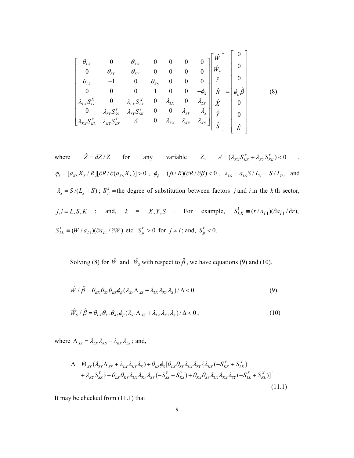$$
\begin{bmatrix}\n\theta_{LX} & 0 & \theta_{KX} & 0 & 0 & 0 & 0 \\
0 & \theta_{SY} & \theta_{KY} & 0 & 0 & 0 & 0 \\
\theta_{LS} & -1 & 0 & \theta_{KS} & 0 & 0 & 0 \\
0 & 0 & 0 & 1 & 0 & 0 & -\phi_{S} \\
\lambda_{LX} S_{LL}^{X} & 0 & \lambda_{LX} S_{LK}^{X} & 0 & \lambda_{LX} & 0 & \lambda_{LS} \\
0 & \lambda_{SY} S_{SS}^{Y} & \lambda_{SY} S_{SK}^{Y} & 0 & 0 & \lambda_{SY} & -\lambda_{S} \\
\lambda_{KX} S_{KL}^{X} & \lambda_{KY} S_{KS}^{Y} & A & 0 & \lambda_{KX} & \lambda_{KY} & \lambda_{KS}\n\end{bmatrix}\n\begin{bmatrix}\n0 \\
\hat{W}_{S} \\
\hat{r} \\
\hat{R} \\
\hat{r} \\
\hat{r} \\
\hat{r} \\
\hat{S}\n\end{bmatrix} = \begin{bmatrix}\n0 \\
0 \\
\phi_{\beta}\hat{\beta} \\
\phi_{\beta}\hat{\beta} \\
0 \\
\hat{r} \\
\hat{r} \\
\hat{r} \\
\hat{r} \\
\hat{r} \\
\hat{r} \\
\hat{r} \\
\hat{r} \\
\hat{r} \\
\hat{r} \\
\hat{r} \\
\hat{r} \\
\hat{r} \\
\hat{r} \\
\hat{r} \\
\hat{r} \\
\hat{r} \\
\hat{r} \\
\hat{r} \\
\hat{r} \\
\hat{r} \\
\hat{r} \\
\hat{r} \\
\hat{r} \\
\hat{r} \\
\hat{r} \\
\hat{r} \\
\hat{r} \\
\hat{r} \\
\hat{r} \\
\hat{r} \\
\hat{r} \\
\hat{r} \\
\hat{r} \\
\hat{r} \\
\hat{r} \\
\hat{r} \\
\hat{r} \\
\hat{r} \\
\hat{r} \\
\hat{r} \\
\hat{r} \\
\hat{r} \\
\hat{r} \\
\hat{r} \\
\hat{r} \\
\hat{r} \\
\hat{r} \\
\hat{r} \\
\hat{r} \\
\hat{r} \\
\hat{r} \\
\hat{r} \\
\hat{r} \\
\hat{r} \\
\hat{r} \\
\hat{r} \\
\hat{r} \\
\hat{r} \\
\hat{r} \\
\hat{r} \\
\hat{r} \\
\hat{r} \\
\hat{r} \\
\hat{r}
$$

9

where  $\hat{Z} = dZ/Z$  for any variable Z,  $A = (\lambda_{KX} S_{KK}^X + \lambda_{KY} S_{KK}^Y) < 0$ ,  $\phi_{\rm S} = [ \, a_{\rm KS} \, X_{\rm S} \, / \, R ] [ \, \partial R \, / \, \partial (a_{\rm KS} \, X_{\rm S} \, ) ] > 0 \ \, , \ \, \phi_{\beta} = ( \beta \, / \, R ) ( \partial R \, / \, \partial \beta ) < 0 \ \, , \ \, \lambda_{\rm LS} = a_{\rm LS} \, S \, / \, L_{\rm U} = S \, / \, L_{\rm U} \, , \ \, \, \text{and}$  $\lambda_s = S/(L_s + S)$ ;  $S_{ji}^k$  = the degree of substitution between factors *j* and *i* in the *k* th sector,  $j, i = L, S, K$  ; and,  $k = X, Y, S$  . For example,  $S_{LK}^1 \equiv (r/a_{L1})(\partial a_{L1}/\partial r)$ ,  $S_{LL}^1 \equiv (W / a_{L1})(\partial a_{L1} / \partial W)$  etc.  $S_{ji}^k > 0$  for  $j \neq i$ ; and,  $S_{jj}^k < 0$ .

Solving (8) for  $\hat{W}$  and  $\hat{W}_s$  with respect to  $\hat{\beta}$ , we have equations (9) and (10).

$$
\hat{W} / \hat{\beta} = \theta_{KX} \theta_{SY} \theta_{KS} \phi_{\beta} (\lambda_{SY} \Lambda_{XS} + \lambda_{LX} \lambda_{KY} \lambda_S) / \Delta < 0
$$
\n(9)

$$
\hat{W}_S / \hat{\beta} = \theta_{LX} \theta_{KY} \theta_{KS} \phi_{\beta} (\lambda_{SY} \Lambda_{XS} + \lambda_{LX} \lambda_{KY} \lambda_S) / \Delta < 0, \qquad (10)
$$

where  $\Lambda_{XS} = \lambda_{LX} \lambda_{KS} - \lambda_{KX} \lambda_{LS}$ ; and,

$$
\Delta = \Theta_{XY} (\lambda_{SY} \Lambda_{XS} + \lambda_{LX} \lambda_{KY} \lambda_S) + \theta_{KS} \phi_S [\theta_{LX} \theta_{SY} \lambda_{LX} \lambda_{SY} \{ \lambda_{KX} (-S_{KK}^X + S_{LK}^X) + \lambda_{KY} S_{SK}^Y \} + \theta_{LX} \theta_{KY} \lambda_{LX} \lambda_{SY} (-S_{SS}^Y + S_{KS}^Y) + \theta_{KX} \theta_{SY} \lambda_{LX} \lambda_{KX} \lambda_{SY} (-S_{LL}^X + S_{KL}^X)]
$$

It may be checked from (11.1) that

 $(11.1)$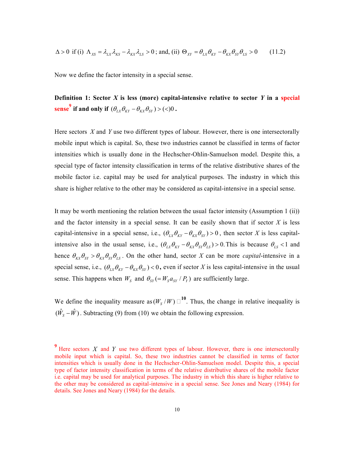$$
\Delta > 0 \text{ if (i) } \Lambda_{XS} = \lambda_{LX} \lambda_{KS} - \lambda_{KX} \lambda_{LS} > 0 \text{; and, (ii) } \Theta_{XY} = \theta_{LX} \theta_{KY} - \theta_{KX} \theta_{SY} \theta_{LS} > 0 \tag{11.2}
$$

Now we define the factor intensity in a special sense.

**Definition 1: Sector**  $X$  **is less (more) capital-intensive relative to sector**  $Y$  **in a special sense<sup>9</sup>** if and only if  $(\theta_{LX}\theta_{KY} - \theta_{KX}\theta_{SY}) > (<0)$ .

Here sectors *X* and *Y* use two different types of labour. However, there is one intersectorally mobile input which is capital. So, these two industries cannot be classified in terms of factor intensities which is usually done in the Hechscher-Ohlin-Samuelson model. Despite this, a special type of factor intensity classification in terms of the relative distributive shares of the mobile factor i.e. capital may be used for analytical purposes. The industry in which this share is higher relative to the other may be considered as capital-intensive in a special sense.

It may be worth mentioning the relation between the usual factor intensity (Assumption 1 (ii)) and the factor intensity in a special sense. It can be easily shown that if sector *X* is less capital-intensive in a special sense, i.e.,  $(\theta_{LX} \theta_{KY} - \theta_{KX} \theta_{SY}) > 0$ , then sector *X* is less capitalintensive also in the usual sense, i.e.,  $(\theta_{LX} \theta_{KY} - \theta_{kX} \theta_{SY} \theta_{LS}) > 0$ . This is because  $\theta_{LS} < 1$  and hence  $\theta_{\kappa X} \theta_{\kappa Y} > \theta_{\kappa X} \theta_{\kappa Y} \theta_{LS}$ . On the other hand, sector *X* can be more *capital*-intensive in a special sense, i.e.,  $(\theta_{LX} \theta_{KY} - \theta_{EX} \theta_{SY}) < 0$ , even if sector *X* is less capital-intensive in the usual sense. This happens when  $W_s$  and  $\theta_{SY} (= W_s a_{SY} / P_Y)$  are sufficiently large.

We define the inequality measure as  $(W_s / W) \square^{10}$ . Thus, the change in relative inequality is  $(\hat{W}_s - \hat{W})$ . Subtracting (9) from (10) we obtain the following expression.

<sup>&</sup>lt;sup>9</sup> Here sectors *X* and *Y* use two different types of labour. However, there is one intersectorally mobile input which is capital. So, these two industries cannot be classified in terms of factor intensities which is usually done in the Hechscher-Ohlin-Samuelson model. Despite this, a special type of factor intensity classification in terms of the relative distributive shares of the mobile factor i.e. capital may be used for analytical purposes. The industry in which this share is higher relative to the other may be considered as capital-intensive in a special sense. See Jones and Neary (1984) for details. See Jones and Neary (1984) for the details.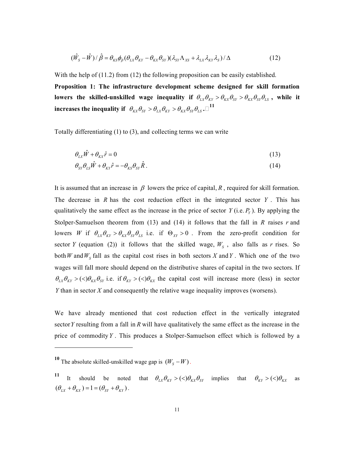$$
(\hat{W}_S - \hat{W})/\hat{\beta} = \theta_{KS}\phi_{\beta}(\theta_{LX}\theta_{KY} - \theta_{KX}\theta_{SY})(\lambda_{SY}\Lambda_{XS} + \lambda_{LX}\lambda_{KY}\lambda_S)/\Delta
$$
\n(12)

With the help of (11.2) from (12) the following proposition can be easily established. **Proposition 1: The infrastructure development scheme designed for skill formation**  lowers the skilled-unskilled wage inequality if  $\theta_{LX}\theta_{KY} > \theta_{XX}\theta_{SY} > \theta_{KX}\theta_{SY}\theta_{LS}$ , while it **increases the inequality if**  $\theta_{KX}\theta_{SY} > \theta_{LX}\theta_{KY} > \theta_{KX}\theta_{SY}\theta_{LS}$ .

Totally differentiating (1) to (3), and collecting terms we can write

$$
\theta_{LX}\hat{W} + \theta_{KX}\hat{r} = 0\tag{13}
$$

$$
\theta_{\rm SY}\theta_{\rm LS}\hat{W} + \theta_{\rm KY}\hat{r} = -\theta_{\rm KS}\theta_{\rm SY}\hat{R} \,. \tag{14}
$$

It is assumed that an increase in  $\beta$  lowers the price of capital,  $R$ , required for skill formation. The decrease in *R* has the cost reduction effect in the integrated sector *Y* . This has qualitatively the same effect as the increase in the price of sector  $Y$  (i.e.  $P_Y$ ). By applying the Stolper-Samuelson theorem from (13) and (14) it follows that the fall in *R* raises *r* and lowers *W* if  $\theta_{LX} \theta_{KY} > \theta_{XX} \theta_{SY} \theta_{LS}$  i.e. if  $\Theta_{XY} > 0$ . From the zero-profit condition for sector *Y* (equation (2)) it follows that the skilled wage,  $W_s$ , also falls as *r* rises. So both *W* and  $W_s$  fall as the capital cost rises in both sectors *X* and *Y*. Which one of the two wages will fall more should depend on the distributive shares of capital in the two sectors. If  $(\theta_{LX} \theta_{KY} > (<)\theta_{KX} \theta_{SY}$  i.e. if  $\theta_{KY} > (<)\theta_{KY}$  the capital cost will increase more (less) in sector *Y* than in sector *X* and consequently the relative wage inequality improves (worsens).

We have already mentioned that cost reduction effect in the vertically integrated sector*Y* resulting from a fall in *R* will have qualitatively the same effect as the increase in the price of commodity*Y* . This produces a Stolper-Samuelson effect which is followed by a

1

<sup>&</sup>lt;sup>10</sup> The absolute skilled-unskilled wage gap is  $(W_s - W)$ 

<sup>11</sup> It should be noted that  $\theta_{LX} \theta_{KY} > \frac{(\langle \theta_{XX}, \theta_{SY} \rangle)}{(\langle \theta_{XX}, \theta_{SY}, \omega_{XY}, \theta_{XY}, \omega_{XY})}$  as  $(\theta_{LX} + \theta_{KX}) = 1 = (\theta_{SY} + \theta_{KY})$ .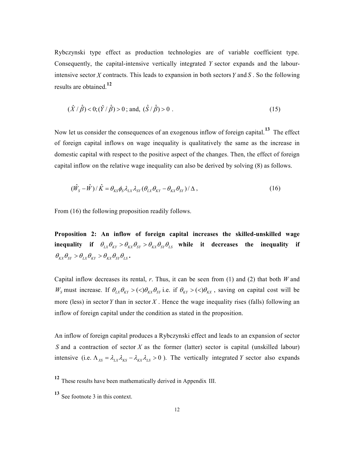Rybczynski type effect as production technologies are of variable coefficient type. Consequently, the capital-intensive vertically integrated *Y* sector expands and the labourintensive sector *X* contracts. This leads to expansion in both sectors*Y* and *S* . So the following results are obtained.**<sup>12</sup>**

$$
(\hat{X}/\hat{\beta}) < 0; (\hat{Y}/\hat{\beta}) > 0
$$
; and,  $(\hat{S}/\hat{\beta}) > 0$ . (15)

Now let us consider the consequences of an exogenous inflow of foreign capital.**13** The effect of foreign capital inflows on wage inequality is qualitatively the same as the increase in domestic capital with respect to the positive aspect of the changes. Then, the effect of foreign capital inflow on the relative wage inequality can also be derived by solving (8) as follows.

$$
(\hat{W}_S - \hat{W})/\hat{K} = \theta_{KS}\phi_S \lambda_{LX} \lambda_{SY} (\theta_{LX} \theta_{KY} - \theta_{KX} \theta_{SY})/\Delta, \qquad (16)
$$

From (16) the following proposition readily follows.

**Proposition 2: An inflow of foreign capital increases the skilled-unskilled wage inequality** if  $\theta_{LX}\theta_{KY} > \theta_{XX}\theta_{SY} > \theta_{XX}\theta_{SY}\theta_{LS}$  while it decreases the inequality if  $\theta_{\scriptscriptstyle{K}X}\theta_{\scriptscriptstyle{SY}} > \theta_{\scriptscriptstyle{L}X}\theta_{\scriptscriptstyle{KY}} > \theta_{\scriptscriptstyle{K}X}\theta_{\scriptscriptstyle{SY}}\theta_{\scriptscriptstyle{LS}}$ .

Capital inflow decreases its rental, *r*. Thus, it can be seen from (1) and (2) that both *W* and  $W_s$  must increase. If  $\theta_{LX} \theta_{KY} > \langle \langle \theta_{KX} \theta_{SY} \rangle$  i.e. if  $\theta_{KY} > \langle \langle \theta_{KX} \rangle$ , saving on capital cost will be more (less) in sector*Y* than in sector *X* . Hence the wage inequality rises (falls) following an inflow of foreign capital under the condition as stated in the proposition.

An inflow of foreign capital produces a Rybczynski effect and leads to an expansion of sector *S* and a contraction of sector *X* as the former (latter) sector is capital (unskilled labour) intensive (i.e.  $\Lambda_{XS} = \lambda_{LX} \lambda_{KS} - \lambda_{KX} \lambda_{LS} > 0$ ). The vertically integrated *Y* sector also expands

**<sup>12</sup>** These results have been mathematically derived in Appendix III.

**<sup>13</sup>** See footnote 3 in this context.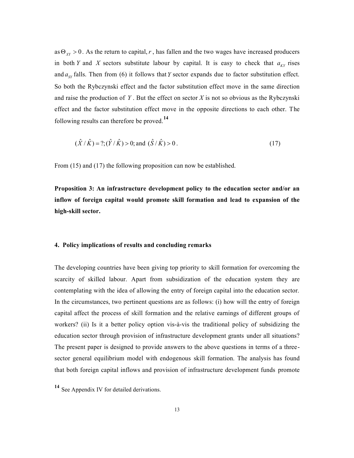as  $\Theta_{XY} > 0$ . As the return to capital, r, has fallen and the two wages have increased producers in both *Y* and *X* sectors substitute labour by capital. It is easy to check that  $a_{\kappa y}$  rises and  $a_{sy}$  falls. Then from (6) it follows that *Y* sector expands due to factor substitution effect. So both the Rybczynski effect and the factor substitution effect move in the same direction and raise the production of *Y* . But the effect on sector *X* is not so obvious as the Rybczynski effect and the factor substitution effect move in the opposite directions to each other. The following results can therefore be proved.**<sup>14</sup>**

$$
(\hat{X}/\hat{K}) = ?
$$
;  $(\hat{Y}/\hat{K}) > 0$ ; and  $(\hat{S}/\hat{K}) > 0$ . (17)

From (15) and (17) the following proposition can now be established.

**Proposition 3: An infrastructure development policy to the education sector and/or an inflow of foreign capital would promote skill formation and lead to expansion of the high-skill sector.** 

## **4. Policy implications of results and concluding remarks**

The developing countries have been giving top priority to skill formation for overcoming the scarcity of skilled labour. Apart from subsidization of the education system they are contemplating with the idea of allowing the entry of foreign capital into the education sector. In the circumstances, two pertinent questions are as follows: (i) how will the entry of foreign capital affect the process of skill formation and the relative earnings of different groups of workers? (ii) Is it a better policy option vis-à-vis the traditional policy of subsidizing the education sector through provision of infrastructure development grants under all situations? The present paper is designed to provide answers to the above questions in terms of a threesector general equilibrium model with endogenous skill formation. The analysis has found that both foreign capital inflows and provision of infrastructure development funds promote

**<sup>14</sup>** See Appendix IV for detailed derivations.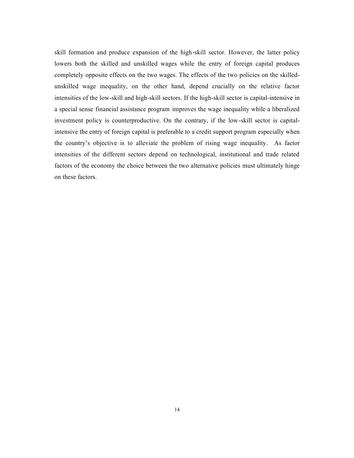skill formation and produce expansion of the high-skill sector. However, the latter policy lowers both the skilled and unskilled wages while the entry of foreign capital produces completely opposite effects on the two wages. The effects of the two policies on the skilledunskilled wage inequality, on the other hand, depend crucially on the relative factor intensities of the low-skill and high-skill sectors. If the high-skill sector is capital-intensive in a special sense financial assistance program improves the wage inequality while a liberalized investment policy is counterproductive. On the contrary, if the low-skill sector is capitalintensive the entry of foreign capital is preferable to a credit support program especially when the country's objective is to alleviate the problem of rising wage inequality. As factor intensities of the different sectors depend on technological, institutional and trade related factors of the economy the choice between the two alternative policies must ultimately hinge on these factors.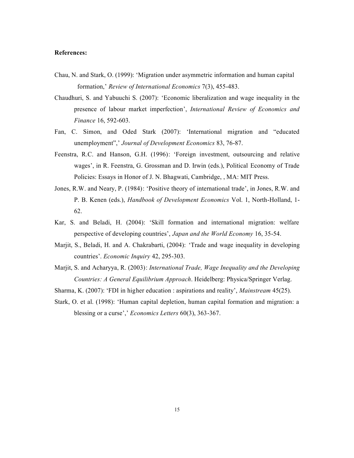### **References:**

- Chau, N. and Stark, O. (1999): 'Migration under asymmetric information and human capital formation,' *Review of International Economics* 7(3), 455-483.
- Chaudhuri, S. and Yabuuchi S. (2007): 'Economic liberalization and wage inequality in the presence of labour market imperfection', *International Review of Economics and Finance* 16, 592-603.
- Fan, C. Simon, and Oded Stark (2007): 'International migration and "educated unemployment",' *Journal of Development Economics* 83, 76-87.
- Feenstra, R.C. and Hanson, G.H. (1996): 'Foreign investment, outsourcing and relative wages', in R. Feenstra, G. Grossman and D. Irwin (eds.), Political Economy of Trade Policies: Essays in Honor of J. N. Bhagwati, Cambridge, , MA: MIT Press.
- Jones, R.W. and Neary, P. (1984): 'Positive theory of international trade', in Jones, R.W. and P. B. Kenen (eds.), *Handbook of Development Economics* Vol. 1, North-Holland, 1- 62.
- Kar, S. and Beladi, H. (2004): 'Skill formation and international migration: welfare perspective of developing countries', *Japan and the World Economy* 16, 35-54.
- Marjit, S., Beladi, H. and A. Chakrabarti, (2004): 'Trade and wage inequality in developing countries'. *Economic Inquiry* 42, 295-303.
- Marjit, S. and Acharyya, R. (2003): *International Trade, Wage Inequality and the Developing Countries: A General Equilibrium Approach*. Heidelberg: Physica/Springer Verlag.
- Sharma, K. (2007): 'FDI in higher education : aspirations and reality', *Mainstream* 45(25).
- Stark, O. et al. (1998): 'Human capital depletion, human capital formation and migration: a blessing or a curse',' *Economics Letters* 60(3), 363-367.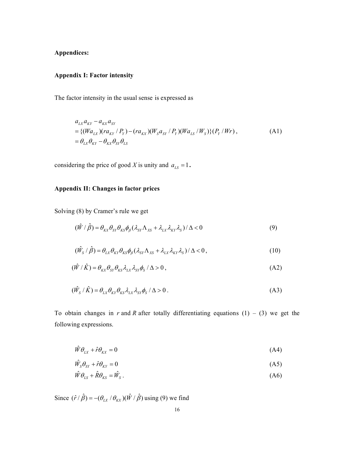# **Appendix I: Factor intensity**

The factor intensity in the usual sense is expressed as

$$
a_{LX}a_{KY} - a_{KX}a_{SY}
$$
  
= {( $Wa_{LX}$ )( $ra_{KY} / P_Y$ ) – ( $ra_{KX}$ )( $W_S a_{SY} / P_Y$ )( $Wa_{LS} / W_S$ )}( $P_Y / Wr$ ),  
=  $\theta_{LX} \theta_{KY} - \theta_{KX} \theta_{SY} \theta_{LS}$  (A1)

considering the price of good *X* is unity and  $a_{LS} = 1$ .

# **Appendix II: Changes in factor prices**

Solving (8) by Cramer's rule we get

$$
(\hat{W} / \hat{\beta}) = \theta_{\scriptscriptstyle{KX}} \theta_{\scriptscriptstyle{SY}} \theta_{\scriptscriptstyle{KS}} \phi_{\scriptscriptstyle{\beta}} (\lambda_{\scriptscriptstyle{SY}} \Lambda_{\scriptscriptstyle{XS}} + \lambda_{\scriptscriptstyle{LX}} \lambda_{\scriptscriptstyle{KY}} \lambda_{\scriptscriptstyle{S}}) / \Delta < 0
$$
\n(9)

$$
(\hat{W}_S / \hat{\beta}) = \theta_{LX} \theta_{KY} \theta_{KS} \phi_{\beta} (\lambda_{SY} \Lambda_{XS} + \lambda_{LX} \lambda_{KY} \lambda_S) / \Delta < 0, \qquad (10)
$$

$$
(\hat{W} / \hat{K}) = \theta_{\kappa x} \theta_{\kappa y} \theta_{\kappa s} \lambda_{\kappa x} \lambda_{\kappa y} \phi_{s} / \Delta > 0, \qquad (A2)
$$

$$
(\hat{W}_S / \hat{K}) = \theta_{LX} \theta_{KY} \theta_{KS} \lambda_{LX} \lambda_{SY} \phi_S / \Delta > 0.
$$
 (A3)

To obtain changes in *r* and *R* after totally differentiating equations  $(1) - (3)$  we get the following expressions.

$$
\hat{W}\theta_{LX} + \hat{r}\theta_{KX} = 0 \tag{A4}
$$

$$
\hat{W}_S \theta_{SY} + \hat{r} \theta_{KY} = 0 \tag{A5}
$$

$$
\hat{W}\theta_{LS} + \hat{R}\theta_{KS} = \hat{W}_S \,. \tag{A6}
$$

Since  $(\hat{r} / \hat{\beta}) = -(\theta_{LX} / \theta_{KX})(\hat{W} / \hat{\beta})$  using (9) we find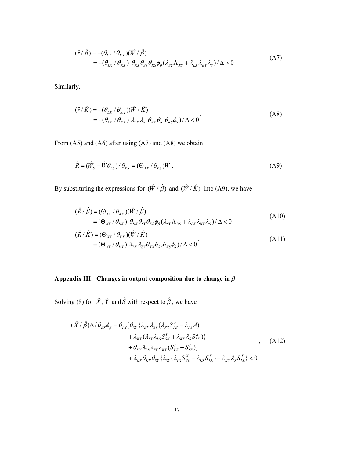$$
(\hat{r} / \hat{\beta}) = -(\theta_{LX} / \theta_{KX}) (\hat{W} / \hat{\beta})
$$
  
= -(\theta\_{LX} / \theta\_{KX}) \theta\_{KX} \theta\_{SY} \theta\_{KS} \phi\_{\beta} (\lambda\_{SY} \Lambda\_{XS} + \lambda\_{LX} \lambda\_{KY} \lambda\_S) / \Delta > 0 (A7)

Similarly,

$$
(\hat{r} / \hat{K}) = -(\theta_{LX} / \theta_{KX}) (\hat{W} / \hat{K})
$$
  
= -(\theta\_{LX} / \theta\_{KX}) \lambda\_{LX} \lambda\_{SY} \theta\_{KX} \theta\_{SY} \theta\_{KS} \phi\_{S}) / \Delta < 0

From (A5) and (A6) after using (A7) and (A8) we obtain

$$
\hat{R} = (\hat{W}_S - \hat{W}\theta_{LS})/\theta_{KS} = (\Theta_{XY}/\theta_{KS})\hat{W} .
$$
\n(A9)

By substituting the expressions for  $(\hat{W}/\hat{\beta})$  and  $(\hat{W}/\hat{K})$  into (A9), we have

$$
(\hat{R}/\hat{\beta}) = (\Theta_{XY}/\theta_{KX})(\hat{W}/\hat{\beta})
$$
  
=  $(\Theta_{XY}/\theta_{KX}) \theta_{KX}\theta_{SY}\theta_{KS}\phi_{\beta}(\lambda_{SY}\Lambda_{XS} + \lambda_{LX}\lambda_{KY}\lambda_S)/\Delta < 0$  (A10)

$$
(\hat{R}/\hat{K}) = (\Theta_{XY}/\theta_{KX})(\hat{W}/\hat{K})
$$
  
=  $(\Theta_{XY}/\theta_{KX}) \lambda_{LX} \lambda_{SY} \theta_{KX} \theta_{SY} \theta_{KS} \phi_{S})/\Delta < 0$  (A11)

# Appendix III: Changes in output composition due to change in  $\beta$

Solving (8) for  $\hat{X}$ ,  $\hat{Y}$  and  $\hat{S}$  with respect to  $\hat{\beta}$ , we have

$$
(\hat{X} / \hat{\beta})\Delta / \theta_{KS}\phi_{\beta} = \theta_{LX}[\theta_{SY}\{\lambda_{KX}\lambda_{SY}(\lambda_{KS}S_{LK}^X - \lambda_{LS}A) + \lambda_{KY}(\lambda_{SY}\lambda_{LS}S_{SK}^Y + \lambda_{KX}\lambda_SS_{LK}^X)\} + \theta_{KY}\lambda_{LS}\lambda_{SY}\lambda_{KY}(S_{KS}^Y - S_{SS}^Y)] + \lambda_{KX}\theta_{KX}\theta_{SY}\{\lambda_{SY}(\lambda_{LS}S_{KL}^X - \lambda_{KS}S_{LL}^X) - \lambda_{KX}\lambda_SS_{LL}^X\} < 0
$$
\n(A12)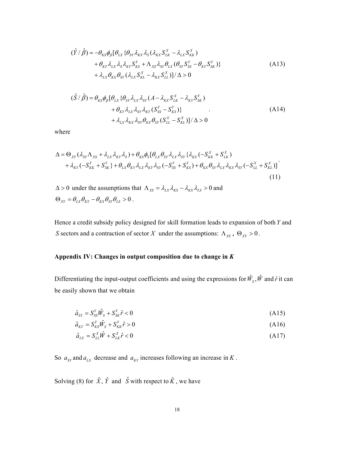$$
(\hat{Y} / \hat{\beta}) = -\theta_{KS}\phi_{\beta}[\theta_{LX} \{\theta_{SY}\lambda_{KX}\lambda_S(\lambda_{KX}S_{LK}^X - \lambda_{LX}S_{KK}^X) + \theta_{KY}\lambda_{LX}\lambda_S\lambda_{KY}S_{KS}^Y + \Lambda_{XS}\lambda_{SY}\theta_{LX}(\theta_{SY}S_{SS}^Y - \theta_{KY}S_{SK}^Y) \} + \lambda_{LX}\theta_{KX}\theta_{SY}(\lambda_{LX}S_{KL}^X - \lambda_{KX}S_{LL}^X)]/\Delta > 0
$$
\n(A13)

$$
(\hat{S} \mid \hat{\beta}) = \theta_{KS} \phi_{\beta} [\theta_{LX} \{ \theta_{SY} \lambda_{LX} \lambda_{SY} (A - \lambda_{KX} S_{LK}^X - \lambda_{KY} S_{SK}^Y) + \theta_{KY} \lambda_{LX} \lambda_{SY} \lambda_{KY} (S_{SS}^Y - S_{KS}^Y) \} + \lambda_{LX} \lambda_{RX} \lambda_{SY} \theta_{XX} \theta_{SY} (S_{LL}^X - S_{KL}^X) ]/\Delta > 0
$$
\n(A14)

where

$$
\Delta = \Theta_{XY} (\lambda_{SY} \Lambda_{XS} + \lambda_{LX} \lambda_{KY} \lambda_S) + \theta_{KS} \phi_S [\theta_{LX} \theta_{SY} \lambda_{LX} \lambda_{SY} \{ \lambda_{KX} (-S_{KK}^X + S_{LK}^X) + \lambda_{KY} (-S_{KK}^Y + S_{SK}^Y) + \theta_{LX} \theta_{SY} \lambda_{LX} \lambda_{RY} \{ \lambda_{SY} (-S_{SS}^Y + S_{KS}^Y) + \theta_{KX} \theta_{SY} \lambda_{LX} \lambda_{RX} \lambda_{SY} (-S_{LL}^X + S_{KL}^X) ]
$$
\n(11)

 $\Delta > 0$  under the assumptions that  $\Lambda_{XS} = \lambda_{LX} \lambda_{KS} - \lambda_{KX} \lambda_{LS} > 0$  and  $\Theta_{XY} = \theta_{LX} \theta_{KY} - \theta_{KX} \theta_{SY} \theta_{LS} > 0$ .

Hence a credit subsidy policy designed for skill formation leads to expansion of both *Y* and *S* sectors and a contraction of sector *X* under the assumptions:  $\Lambda_{XS}$ ,  $\Theta_{XY} > 0$ .

# **Appendix IV: Changes in output composition due to change in** *K*

Differentiating the input-output coefficients and using the expressions for  $\hat{W}_s$ ,  $\hat{W}$  and  $\hat{r}$  it can be easily shown that we obtain

$$
\hat{a}_{SY} = S_{SS}^Y \hat{W}_S + S_{SK}^Y \hat{r} < 0 \tag{A15}
$$

$$
\hat{a}_{\scriptscriptstyle KY} = S_{\scriptscriptstyle KS}^{\scriptscriptstyle Y} \hat{W}_{\scriptscriptstyle S} + S_{\scriptscriptstyle KK}^{\scriptscriptstyle Y} \hat{r} > 0 \tag{A16}
$$

$$
\hat{a}_{LX} = S_{LL}^X \hat{W} + S_{LK}^X \hat{r} < 0 \tag{A17}
$$

So  $a_{sy}$  and  $a_{LX}$  decrease and  $a_{KY}$  increases following an increase in *K*.

Solving (8) for  $\hat{X}$ ,  $\hat{Y}$  and  $\hat{S}$  with respect to  $\hat{K}$ , we have